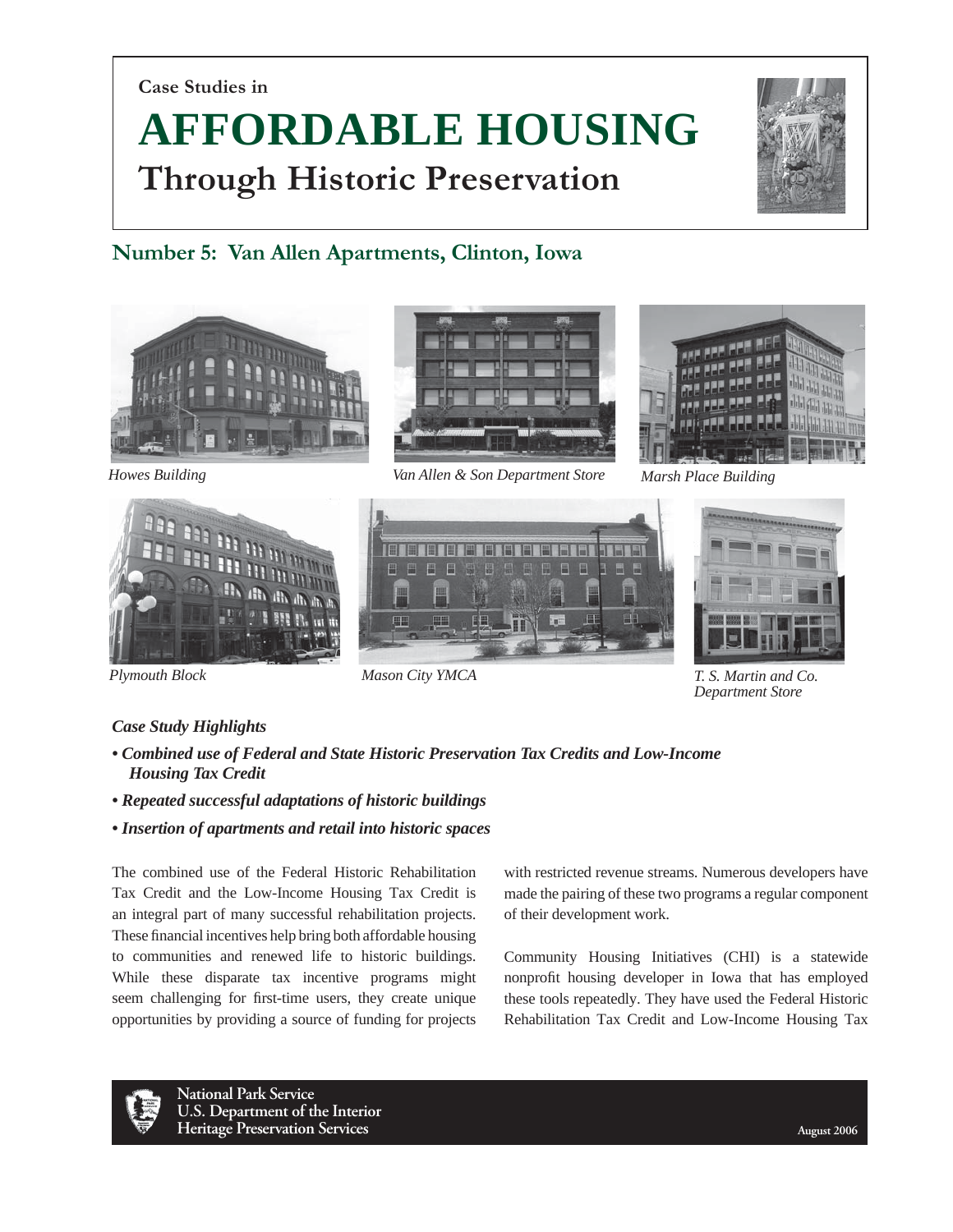**Case Studies in**

# **AFFORDABLE HOUSING Through Historic Preservation**



# **Number 5: Van Allen Apartments, Clinton, Iowa**







*Howes Building Van Allen & Son Department Store Marsh Place Building*







*Plymouth Block Mason City YMCA T. S. Martin and Co. Department Store*

# *Case Study Highlights*

- *Combined use of Federal and State Historic Preservation Tax Credits and Low-Income Housing Tax Credit*
- *Repeated successful adaptations of historic buildings*
- *Insertion of apartments and retail into historic spaces*

The combined use of the Federal Historic Rehabilitation Tax Credit and the Low-Income Housing Tax Credit is an integral part of many successful rehabilitation projects. These financial incentives help bring both affordable housing to communities and renewed life to historic buildings. While these disparate tax incentive programs might seem challenging for first-time users, they create unique opportunities by providing a source of funding for projects with restricted revenue streams. Numerous developers have made the pairing of these two programs a regular component of their development work.

Community Housing Initiatives (CHI) is a statewide nonprofit housing developer in Iowa that has employed these tools repeatedly. They have used the Federal Historic Rehabilitation Tax Credit and Low-Income Housing Tax

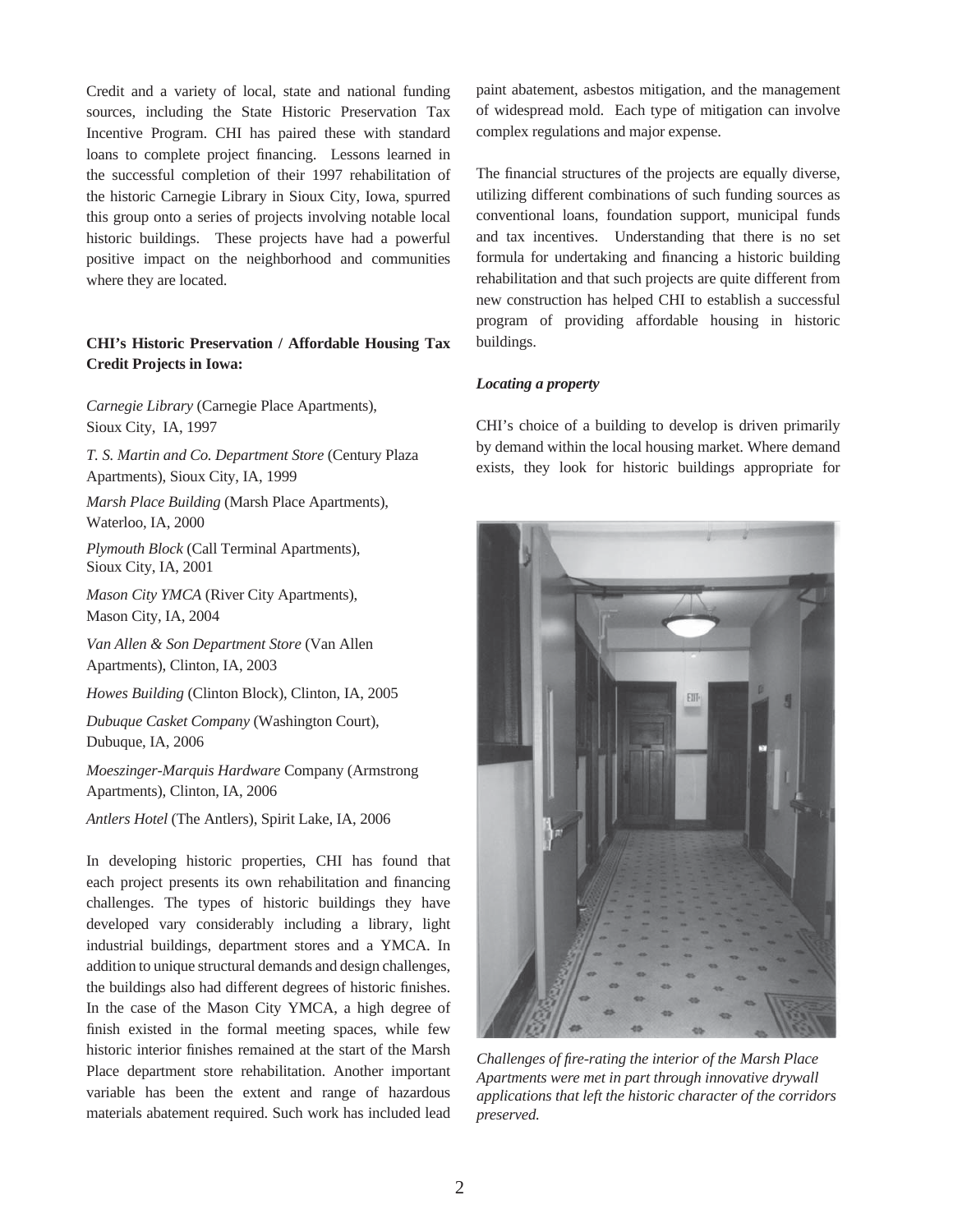Credit and a variety of local, state and national funding sources, including the State Historic Preservation Tax Incentive Program. CHI has paired these with standard loans to complete project financing. Lessons learned in the successful completion of their 1997 rehabilitation of the historic Carnegie Library in Sioux City, Iowa, spurred this group onto a series of projects involving notable local historic buildings. These projects have had a powerful positive impact on the neighborhood and communities where they are located.

# **CHI's Historic Preservation / Affordable Housing Tax Credit Projects in Iowa:**

*Carnegie Library* (Carnegie Place Apartments), Sioux City, IA, 1997

*T. S. Martin and Co. Department Store* (Century Plaza Apartments), Sioux City, IA, 1999

*Marsh Place Building* (Marsh Place Apartments), Waterloo, IA, 2000

*Plymouth Block* (Call Terminal Apartments), Sioux City, IA, 2001

*Mason City YMCA* (River City Apartments), Mason City, IA, 2004

*Van Allen & Son Department Store* (Van Allen Apartments), Clinton, IA, 2003

*Howes Building* (Clinton Block), Clinton, IA, 2005

*Dubuque Casket Company* (Washington Court), Dubuque, IA, 2006

*Moeszinger-Marquis Hardware* Company (Armstrong Apartments), Clinton, IA, 2006

*Antlers Hotel* (The Antlers), Spirit Lake, IA, 2006

In developing historic properties, CHI has found that each project presents its own rehabilitation and financing challenges. The types of historic buildings they have developed vary considerably including a library, light industrial buildings, department stores and a YMCA. In addition to unique structural demands and design challenges, the buildings also had different degrees of historic finishes. In the case of the Mason City YMCA, a high degree of finish existed in the formal meeting spaces, while few historic interior finishes remained at the start of the Marsh Place department store rehabilitation. Another important variable has been the extent and range of hazardous materials abatement required. Such work has included lead

paint abatement, asbestos mitigation, and the management of widespread mold. Each type of mitigation can involve complex regulations and major expense.

The financial structures of the projects are equally diverse, utilizing different combinations of such funding sources as conventional loans, foundation support, municipal funds and tax incentives. Understanding that there is no set formula for undertaking and financing a historic building rehabilitation and that such projects are quite different from new construction has helped CHI to establish a successful program of providing affordable housing in historic buildings.

# *Locating a property*

CHI's choice of a building to develop is driven primarily by demand within the local housing market. Where demand exists, they look for historic buildings appropriate for



*Challenges of fi re-rating the interior of the Marsh Place Apartments were met in part through innovative drywall applications that left the historic character of the corridors preserved.*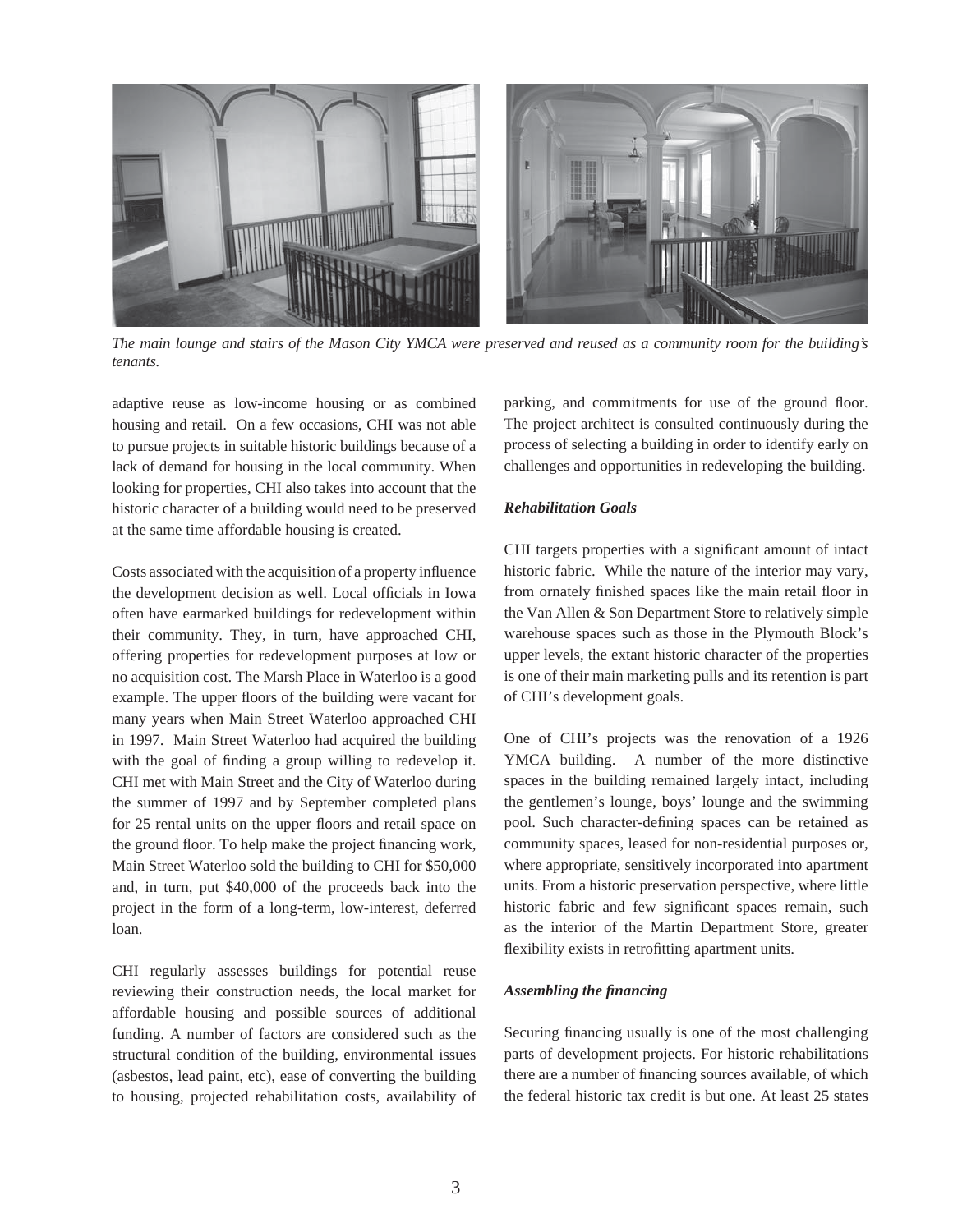

*The main lounge and stairs of the Mason City YMCA were preserved and reused as a community room for the building's tenants.* 

adaptive reuse as low-income housing or as combined housing and retail. On a few occasions, CHI was not able to pursue projects in suitable historic buildings because of a lack of demand for housing in the local community. When looking for properties, CHI also takes into account that the historic character of a building would need to be preserved at the same time affordable housing is created.

Costs associated with the acquisition of a property influence the development decision as well. Local officials in Iowa often have earmarked buildings for redevelopment within their community. They, in turn, have approached CHI, offering properties for redevelopment purposes at low or no acquisition cost. The Marsh Place in Waterloo is a good example. The upper floors of the building were vacant for many years when Main Street Waterloo approached CHI in 1997. Main Street Waterloo had acquired the building with the goal of finding a group willing to redevelop it. CHI met with Main Street and the City of Waterloo during the summer of 1997 and by September completed plans for 25 rental units on the upper floors and retail space on the ground floor. To help make the project financing work, Main Street Waterloo sold the building to CHI for \$50,000 and, in turn, put \$40,000 of the proceeds back into the project in the form of a long-term, low-interest, deferred loan.

CHI regularly assesses buildings for potential reuse reviewing their construction needs, the local market for affordable housing and possible sources of additional funding. A number of factors are considered such as the structural condition of the building, environmental issues (asbestos, lead paint, etc), ease of converting the building to housing, projected rehabilitation costs, availability of parking, and commitments for use of the ground floor. The project architect is consulted continuously during the process of selecting a building in order to identify early on challenges and opportunities in redeveloping the building.

# *Rehabilitation Goals*

CHI targets properties with a significant amount of intact historic fabric. While the nature of the interior may vary, from ornately finished spaces like the main retail floor in the Van Allen & Son Department Store to relatively simple warehouse spaces such as those in the Plymouth Block's upper levels, the extant historic character of the properties is one of their main marketing pulls and its retention is part of CHI's development goals.

One of CHI's projects was the renovation of a 1926 YMCA building. A number of the more distinctive spaces in the building remained largely intact, including the gentlemen's lounge, boys' lounge and the swimming pool. Such character-defining spaces can be retained as community spaces, leased for non-residential purposes or, where appropriate, sensitively incorporated into apartment units. From a historic preservation perspective, where little historic fabric and few significant spaces remain, such as the interior of the Martin Department Store, greater flexibility exists in retrofitting apartment units.

## *Assembling the fi nancing*

Securing financing usually is one of the most challenging parts of development projects. For historic rehabilitations there are a number of financing sources available, of which the federal historic tax credit is but one. At least 25 states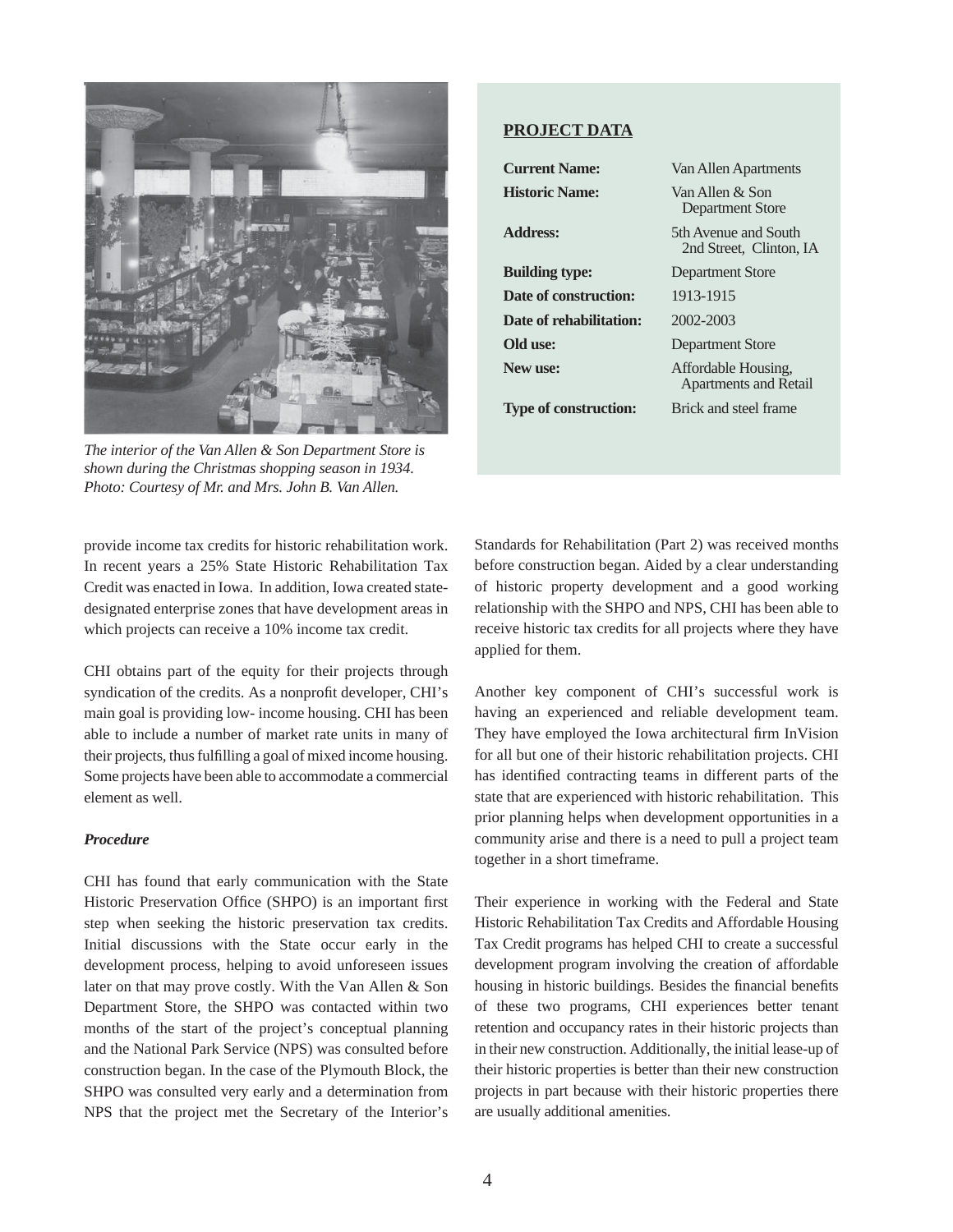

*The interior of the Van Allen & Son Department Store is shown during the Christmas shopping season in 1934. Photo: Courtesy of Mr. and Mrs. John B. Van Allen.*

provide income tax credits for historic rehabilitation work. In recent years a 25% State Historic Rehabilitation Tax Credit was enacted in Iowa. In addition, Iowa created statedesignated enterprise zones that have development areas in which projects can receive a 10% income tax credit.

CHI obtains part of the equity for their projects through syndication of the credits. As a nonprofit developer, CHI's main goal is providing low- income housing. CHI has been able to include a number of market rate units in many of their projects, thus fulfilling a goal of mixed income housing. Some projects have been able to accommodate a commercial element as well.

# *Procedure*

CHI has found that early communication with the State Historic Preservation Office (SHPO) is an important first step when seeking the historic preservation tax credits. Initial discussions with the State occur early in the development process, helping to avoid unforeseen issues later on that may prove costly. With the Van Allen & Son Department Store, the SHPO was contacted within two months of the start of the project's conceptual planning and the National Park Service (NPS) was consulted before construction began. In the case of the Plymouth Block, the SHPO was consulted very early and a determination from NPS that the project met the Secretary of the Interior's

# **PROJECT DATA**

| <b>Current Name:</b>         | Van Allen Apartments                                |
|------------------------------|-----------------------------------------------------|
| <b>Historic Name:</b>        | Van Allen $\&$ Son<br>Department Store              |
| Address:                     | 5th Avenue and South<br>2nd Street, Clinton, IA     |
| <b>Building type:</b>        | Department Store                                    |
| Date of construction:        | 1913-1915                                           |
| Date of rehabilitation:      | 2002-2003                                           |
| Old use:                     | <b>Department Store</b>                             |
| New use:                     | Affordable Housing,<br><b>Apartments and Retail</b> |
| <b>Type of construction:</b> | Brick and steel frame                               |

Standards for Rehabilitation (Part 2) was received months before construction began. Aided by a clear understanding of historic property development and a good working relationship with the SHPO and NPS, CHI has been able to receive historic tax credits for all projects where they have applied for them.

Another key component of CHI's successful work is having an experienced and reliable development team. They have employed the Iowa architectural firm InVision for all but one of their historic rehabilitation projects. CHI has identified contracting teams in different parts of the state that are experienced with historic rehabilitation. This prior planning helps when development opportunities in a community arise and there is a need to pull a project team together in a short timeframe.

Their experience in working with the Federal and State Historic Rehabilitation Tax Credits and Affordable Housing Tax Credit programs has helped CHI to create a successful development program involving the creation of affordable housing in historic buildings. Besides the financial benefits of these two programs, CHI experiences better tenant retention and occupancy rates in their historic projects than in their new construction. Additionally, the initial lease-up of their historic properties is better than their new construction projects in part because with their historic properties there are usually additional amenities.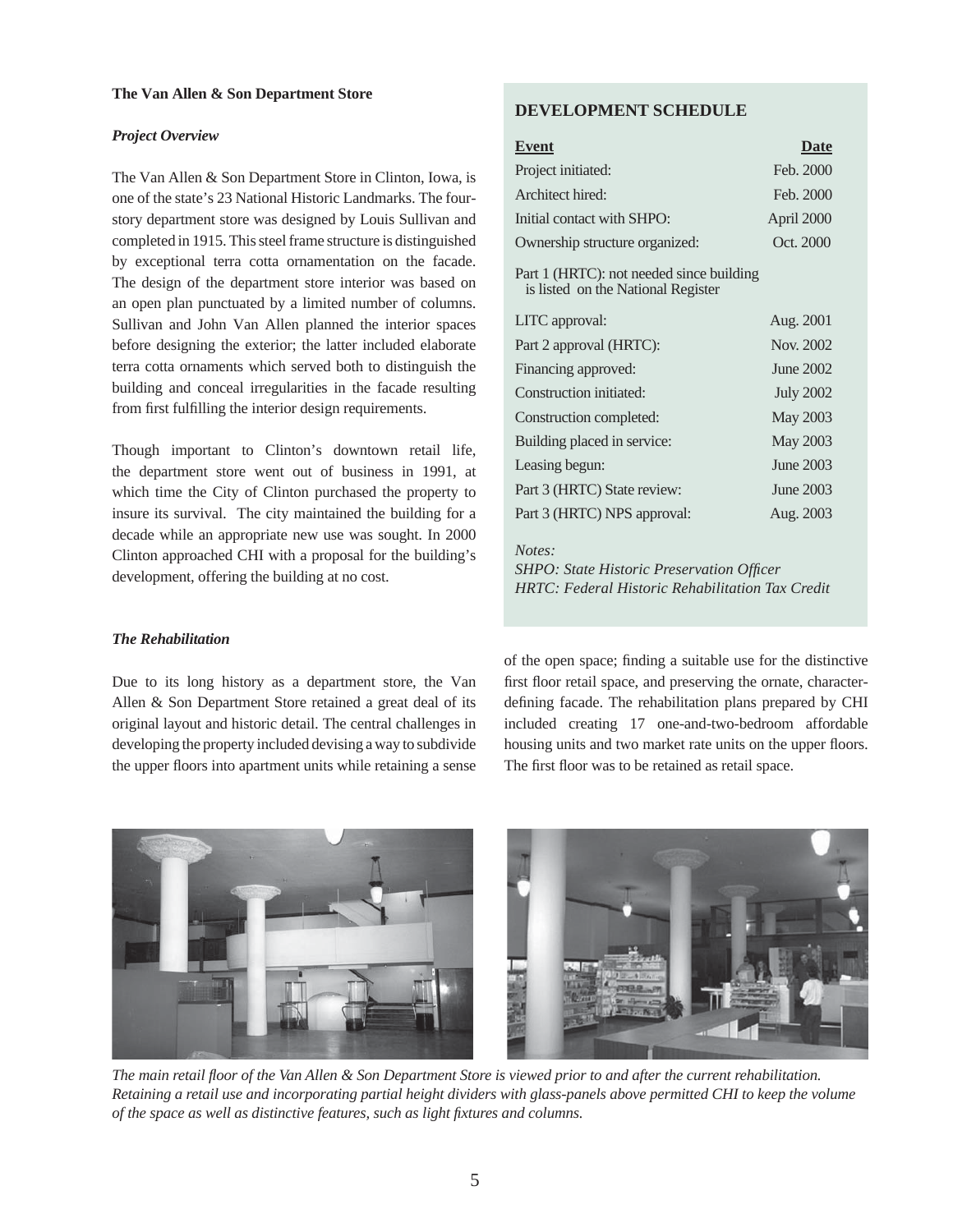# *Project Overview*

The Van Allen & Son Department Store in Clinton, Iowa, is one of the state's 23 National Historic Landmarks. The fourstory department store was designed by Louis Sullivan and completed in 1915. This steel frame structure is distinguished by exceptional terra cotta ornamentation on the facade. The design of the department store interior was based on an open plan punctuated by a limited number of columns. Sullivan and John Van Allen planned the interior spaces before designing the exterior; the latter included elaborate terra cotta ornaments which served both to distinguish the building and conceal irregularities in the facade resulting from first fulfilling the interior design requirements.

Though important to Clinton's downtown retail life, the department store went out of business in 1991, at which time the City of Clinton purchased the property to insure its survival. The city maintained the building for a decade while an appropriate new use was sought. In 2000 Clinton approached CHI with a proposal for the building's development, offering the building at no cost.

# **DEVELOPMENT SCHEDULE**

| <b>Event</b>                                                                   | Date             |
|--------------------------------------------------------------------------------|------------------|
| Project initiated:                                                             | Feb. 2000        |
| Architect hired:                                                               | Feb. 2000        |
| Initial contact with SHPO:                                                     | April 2000       |
| Ownership structure organized:                                                 | Oct. 2000        |
| Part 1 (HRTC): not needed since building<br>is listed on the National Register |                  |
| LITC approval:                                                                 | Aug. 2001        |
| Part 2 approval (HRTC):                                                        | Nov. 2002        |
| Financing approved:                                                            | June 2002        |
| Construction initiated:                                                        | <b>July 2002</b> |
| Construction completed:                                                        | May 2003         |
| Building placed in service:                                                    | May 2003         |
| Leasing begun:                                                                 | June 2003        |
| Part 3 (HRTC) State review:                                                    | June 2003        |
| Part 3 (HRTC) NPS approval:                                                    | Aug. 2003        |
| Notes:                                                                         |                  |

*SHPO: State Historic Preservation Officer HRTC: Federal Historic Rehabilitation Tax Credit* 

### *The Rehabilitation*

Due to its long history as a department store, the Van Allen & Son Department Store retained a great deal of its original layout and historic detail. The central challenges in developing the property included devising a way to subdivide the upper floors into apartment units while retaining a sense of the open space; finding a suitable use for the distinctive first floor retail space, and preserving the ornate, characterdefining facade. The rehabilitation plans prepared by CHI included creating 17 one-and-two-bedroom affordable housing units and two market rate units on the upper floors. The first floor was to be retained as retail space.



*The main retail fl oor of the Van Allen & Son Department Store is viewed prior to and after the current rehabilitation. Retaining a retail use and incorporating partial height dividers with glass-panels above permitted CHI to keep the volume of the space as well as distinctive features, such as light fixtures and columns.*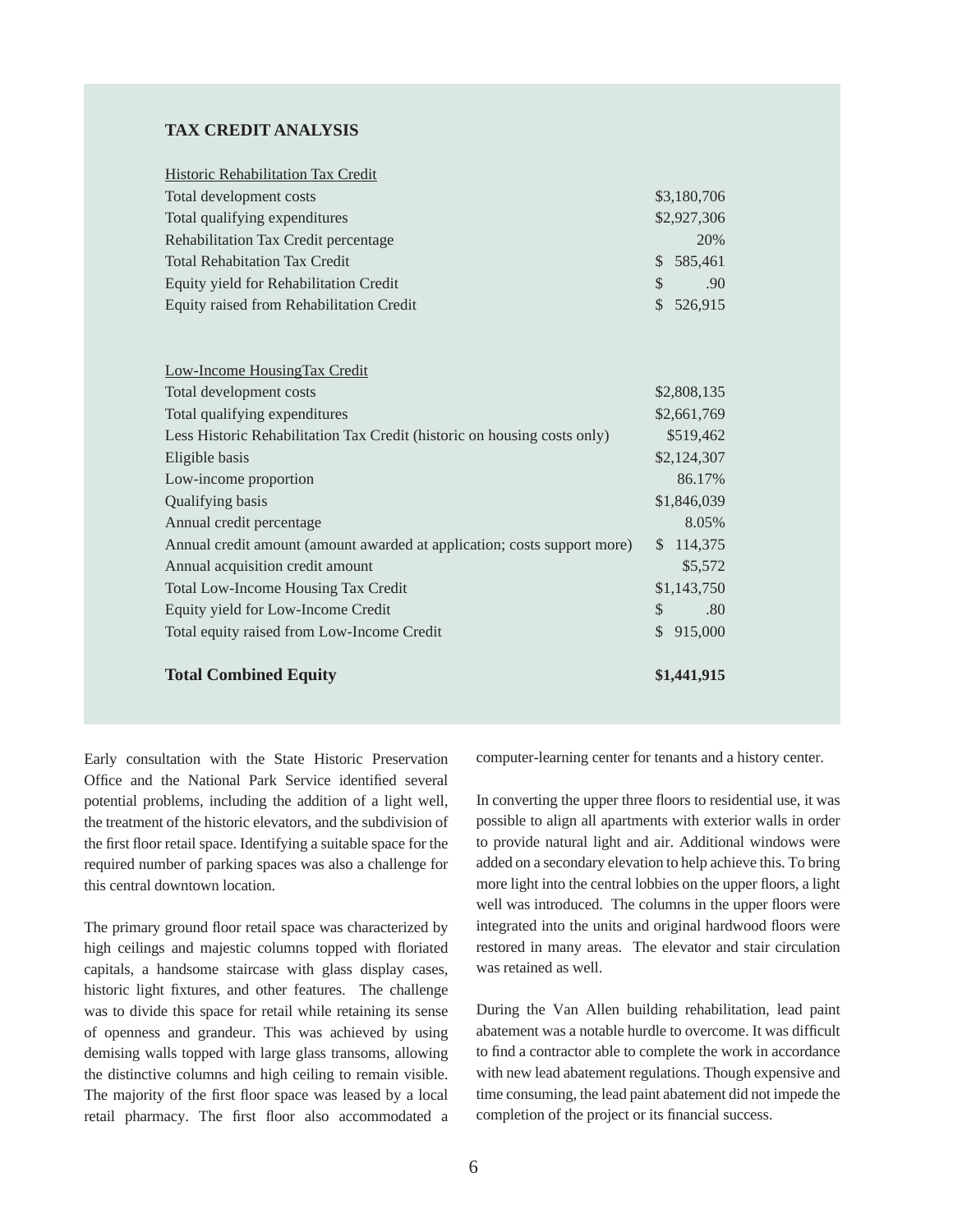# **TAX CREDIT ANALYSIS**

| <b>Historic Rehabilitation Tax Credit</b> |                      |
|-------------------------------------------|----------------------|
| Total development costs                   | \$3,180,706          |
| Total qualifying expenditures             | \$2,927,306          |
| Rehabilitation Tax Credit percentage      | 20%                  |
| <b>Total Rehabitation Tax Credit</b>      | \$585,461            |
| Equity yield for Rehabilitation Credit    | .90<br><sup>\$</sup> |
| Equity raised from Rehabilitation Credit  | \$526,915            |

| Low-Income Housing Tax Credit                                            |                         |
|--------------------------------------------------------------------------|-------------------------|
| Total development costs                                                  | \$2,808,135             |
| Total qualifying expenditures                                            | \$2,661,769             |
| Less Historic Rehabilitation Tax Credit (historic on housing costs only) | \$519,462               |
| Eligible basis                                                           | \$2,124,307             |
| Low-income proportion                                                    | 86.17%                  |
| Qualifying basis                                                         | \$1,846,039             |
| Annual credit percentage                                                 | 8.05%                   |
| Annual credit amount (amount awarded at application; costs support more) | 114,375<br><sup>S</sup> |
| Annual acquisition credit amount                                         | \$5,572                 |
| <b>Total Low-Income Housing Tax Credit</b>                               | \$1,143,750             |
| Equity yield for Low-Income Credit                                       | \$<br>.80               |
| Total equity raised from Low-Income Credit                               | 915,000<br>\$           |
| <b>Total Combined Equity</b>                                             | \$1,441,915             |

Early consultation with the State Historic Preservation Office and the National Park Service identified several potential problems, including the addition of a light well, the treatment of the historic elevators, and the subdivision of the first floor retail space. Identifying a suitable space for the required number of parking spaces was also a challenge for this central downtown location.

The primary ground floor retail space was characterized by high ceilings and majestic columns topped with floriated capitals, a handsome staircase with glass display cases, historic light fixtures, and other features. The challenge was to divide this space for retail while retaining its sense of openness and grandeur. This was achieved by using demising walls topped with large glass transoms, allowing the distinctive columns and high ceiling to remain visible. The majority of the first floor space was leased by a local retail pharmacy. The first floor also accommodated a computer-learning center for tenants and a history center.

In converting the upper three floors to residential use, it was possible to align all apartments with exterior walls in order to provide natural light and air. Additional windows were added on a secondary elevation to help achieve this. To bring more light into the central lobbies on the upper floors, a light well was introduced. The columns in the upper floors were integrated into the units and original hardwood floors were restored in many areas. The elevator and stair circulation was retained as well.

During the Van Allen building rehabilitation, lead paint abatement was a notable hurdle to overcome. It was difficult to find a contractor able to complete the work in accordance with new lead abatement regulations. Though expensive and time consuming, the lead paint abatement did not impede the completion of the project or its financial success.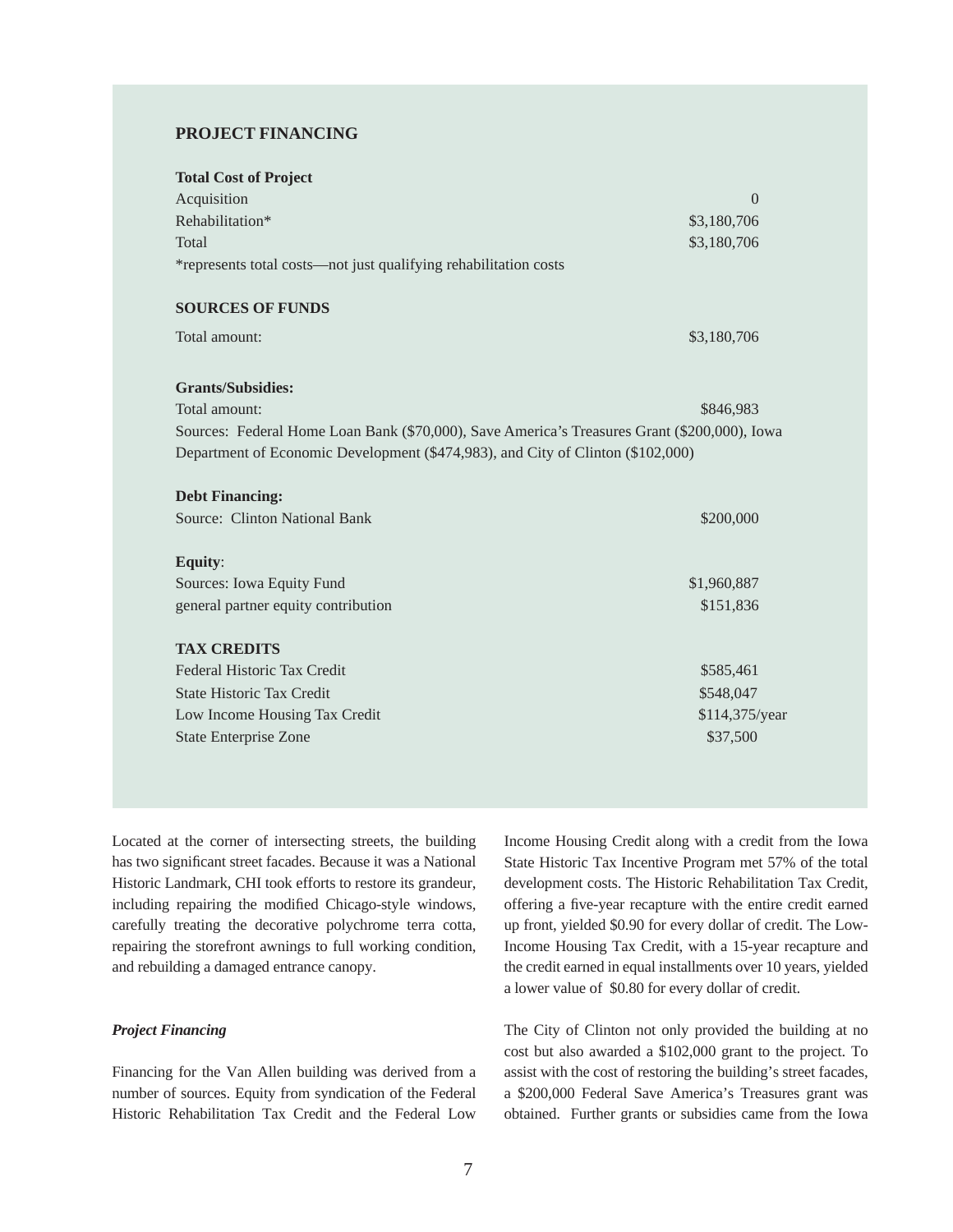# **PROJECT FINANCING**

| <b>Total Cost of Project</b>                                                                 |                |
|----------------------------------------------------------------------------------------------|----------------|
| Acquisition                                                                                  | $\Omega$       |
| Rehabilitation*                                                                              | \$3,180,706    |
| Total                                                                                        | \$3,180,706    |
| *represents total costs—not just qualifying rehabilitation costs                             |                |
| <b>SOURCES OF FUNDS</b>                                                                      |                |
| Total amount:                                                                                | \$3,180,706    |
| <b>Grants/Subsidies:</b>                                                                     |                |
| Total amount:                                                                                | \$846,983      |
| Sources: Federal Home Loan Bank (\$70,000), Save America's Treasures Grant (\$200,000), Iowa |                |
| Department of Economic Development (\$474,983), and City of Clinton (\$102,000)              |                |
| <b>Debt Financing:</b>                                                                       |                |
| <b>Source: Clinton National Bank</b>                                                         | \$200,000      |
| Equity:                                                                                      |                |
| Sources: Iowa Equity Fund                                                                    | \$1,960,887    |
| general partner equity contribution                                                          | \$151,836      |
|                                                                                              |                |
| <b>TAX CREDITS</b>                                                                           |                |
| Federal Historic Tax Credit                                                                  | \$585,461      |
| <b>State Historic Tax Credit</b>                                                             | \$548,047      |
| Low Income Housing Tax Credit                                                                | \$114,375/year |
| <b>State Enterprise Zone</b>                                                                 | \$37,500       |

Located at the corner of intersecting streets, the building has two significant street facades. Because it was a National Historic Landmark, CHI took efforts to restore its grandeur, including repairing the modified Chicago-style windows, carefully treating the decorative polychrome terra cotta, repairing the storefront awnings to full working condition, and rebuilding a damaged entrance canopy.

#### *Project Financing*

Financing for the Van Allen building was derived from a number of sources. Equity from syndication of the Federal Historic Rehabilitation Tax Credit and the Federal Low Income Housing Credit along with a credit from the Iowa State Historic Tax Incentive Program met 57% of the total development costs. The Historic Rehabilitation Tax Credit, offering a five-year recapture with the entire credit earned up front, yielded \$0.90 for every dollar of credit. The Low-Income Housing Tax Credit, with a 15-year recapture and the credit earned in equal installments over 10 years, yielded a lower value of \$0.80 for every dollar of credit.

The City of Clinton not only provided the building at no cost but also awarded a \$102,000 grant to the project. To assist with the cost of restoring the building's street facades, a \$200,000 Federal Save America's Treasures grant was obtained. Further grants or subsidies came from the Iowa